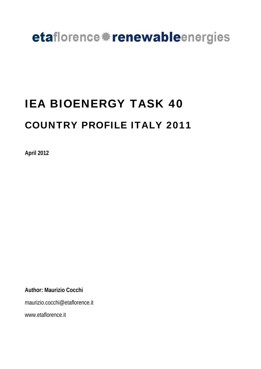## etaflorence \*renewableenergies

 $\overline{a}$ 

# IEA BIOENERGY TASK 40 COUNTRY PROFILE ITALY 2011

**April 2012** 

**Author: Maurizio Cocchi** 

maurizio.cocchi@etaflorence.it

www.etaflorence.it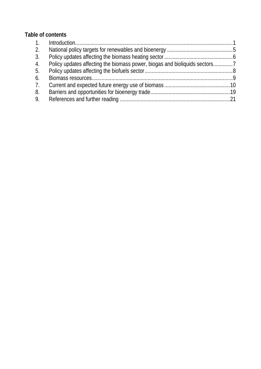### **Table of contents**

| 2. |  |
|----|--|
| 3. |  |
| 4. |  |
| 5. |  |
| 6. |  |
| 7. |  |
| 8. |  |
| 9. |  |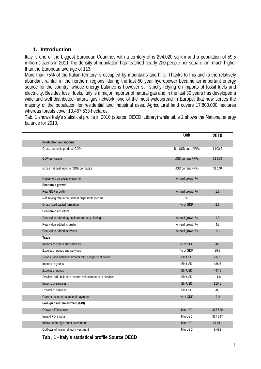#### **1. Introduction**

Italy is one of the biggest European Countries with a territory of is 294,020 sq km and a population of 59,5 million citizens in 2011. the density of population has reached nearly 200 people per square km, much higher than the European average of 113.

More than 75% of the Italian territory is occupied by mountains and hills. Thanks to this and to the relatively abundant rainfall in the northern regions, during the last 50 year hydropower became an important energy source for the country, whose energy balance is however still strictly relying on imports of fossil fuels and electricity. Besides fossil fuels, Italy is a major importer of natural gas and in the last 30 years has developed a wide and well distributed natural gas network, one of the most widespread in Europe, that now serves the majority of the population for residential and industrial uses. Agricultural land covers 17.800.000 hectares whereas forests cover 10.467.533 hectares.

Tab. 1 shows Italy's statistical profile in 2010 (source: OECD iLibrary) while table 2 shows the National energy balance for 2010.

|                                                          | Unit                    | 2010      |
|----------------------------------------------------------|-------------------------|-----------|
| Production and income                                    |                         |           |
| Gross domestic product (GDP)                             | Bln USD curr. PPPs      | 1 908,6   |
| GDP per capita                                           | <b>USD current PPPs</b> | 31 563    |
| Gross national income (GNI) per capita                   | <b>USD current PPPs</b> | 31 140    |
| Household disposable income                              | Annual growth %         | $\ddotsc$ |
| Economic growth                                          |                         |           |
| Real GDP growth                                          | Annual growth %         | 1,3       |
| Net saving rate in household disposable income           | %                       | $\ddotsc$ |
| Gross fixed capital formation                            | % of GDP                | 2,5       |
| Economic structure                                       |                         |           |
| Real value added: agriculture, forestry, fishing         | Annual growth %         | 1,0       |
| Real value added: industry                               | Annual growth %         | 4,8       |
| Real value added: services                               | Annual growth %         | $-0,1$    |
| Trade                                                    |                         |           |
| Imports of goods and services                            | % of GDP                | 28,5      |
| Exports of goods and services                            | % of GDP                | 26,8      |
| Goods trade balance: exports minus imports of goods      | <b>Bln USD</b>          | $-39,1$   |
| Imports of goods                                         | <b>Bln USD</b>          | 486,6     |
| Exports of goods                                         | <b>Bln USD</b>          | 447,5     |
| Service trade balance: exports minus imports of services | <b>Bln USD</b>          | $-11,8$   |
| Imports of services                                      | <b>Bln USD</b>          | 110,1     |
| <b>Exports of services</b>                               | <b>Bln USD</b>          | 98,3      |
| Current account balance of payments                      | % of GDP                | $-3,2$    |
| Foreign direct investment (FDI)                          |                         |           |
| Outward FDI stocks                                       | Mln USD                 | 475 599   |
| Inward FDI stocks                                        | Mln USD                 | 337 397   |
| Inflows of foreign direct investment                     | Mln USD                 | 21 0 11   |
| Outflows of foreign direct investment                    | Mln USD                 | 9498      |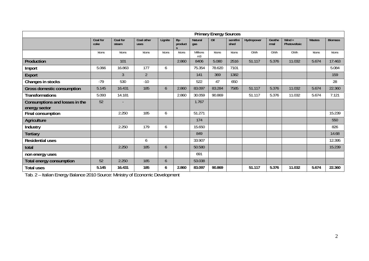|                                                 | <b>Primary Energy Sources</b> |                   |                    |         |                |                            |        |                  |            |                |                          |        |                |
|-------------------------------------------------|-------------------------------|-------------------|--------------------|---------|----------------|----------------------------|--------|------------------|------------|----------------|--------------------------|--------|----------------|
|                                                 | Coal for<br>coke              | Coal for<br>steam | Coal other<br>uses | Lignite | By-<br>product | <b>Natural</b><br>gas      | Oil    | semifini<br>shed | Hydropower | Geothe<br>rmal | Wind $+$<br>Photovoltaic | Wastes | <b>Biomass</b> |
|                                                 | ktons                         | ktons             | ktons              | ktons   | ktons          | Millions<br>m <sub>3</sub> | ktons  | ktons            | GWh        | GWh            | GWh                      | ktons  | ktons          |
| Production                                      |                               | 101               |                    |         | 2.860          | 8406                       | 5.080  | 2516             | 51.117     | 5.376          | 11.032                   | 5.674  | 17.463         |
| Import                                          | 5.066                         | 16.863            | 177                | 6       |                | 75.354                     | 78.620 | 7101             |            |                |                          |        | 5.084          |
| <b>Export</b>                                   |                               | 3                 | $\overline{2}$     |         |                | 141                        | 369    | 1382             |            |                |                          |        | 159            |
| Changes in stocks                               | $-79$                         | 530               | $-10$              |         |                | 522                        | 47     | 650              |            |                |                          |        | 28             |
| <b>Gross domestic consumption</b>               | 5.145                         | 16.431            | 185                | 6       | 2.860          | 83.097                     | 83.284 | 7585             | 51.117     | 5.376          | 11.032                   | 5.674  | 22.360         |
| <b>Transformations</b>                          | 5.093                         | 14.181            |                    |         | 2.860          | 30.059                     | 90.869 |                  | 51.117     | 5.376          | 11.032                   | 5.674  | 7.121          |
| Consumptions and losses in the<br>energy sector | 52                            |                   |                    |         |                | 1.767                      |        |                  |            |                |                          |        |                |
| Final consumption                               |                               | 2.250             | 185                | 6       |                | 51.271                     |        |                  |            |                |                          |        | 15.239         |
| Agriculture                                     |                               |                   |                    |         |                | 174                        |        |                  |            |                |                          |        | 550            |
| Industry                                        |                               | 2.250             | 179                | 6       |                | 15.650                     |        |                  |            |                |                          |        | 826            |
| <b>Tertiary</b>                                 |                               |                   |                    |         |                | 849                        |        |                  |            |                |                          |        | 14.68          |
| <b>Residential uses</b>                         |                               |                   | 6                  |         |                | 33.907                     |        |                  |            |                |                          |        | 12.395         |
| total                                           |                               | 2.250             | 185                | 6       |                | 50.580                     |        |                  |            |                |                          |        | 15.239         |
| non energy uses                                 |                               |                   |                    |         |                | 691                        |        |                  |            |                |                          |        |                |
| Total energy consumption                        | 52                            | 2.250             | 185                | 6       |                | 53.038                     |        |                  |            |                |                          |        |                |
| <b>Total uses</b>                               | 5.145                         | 16.431            | 185                | 6       | 2.860          | 83.097                     | 90.869 |                  | 51.117     | 5.376          | 11.032                   | 5.674  | 22.360         |

Tab. 2 – Italian Energy Balance 2010 Source: Ministry of Economic Development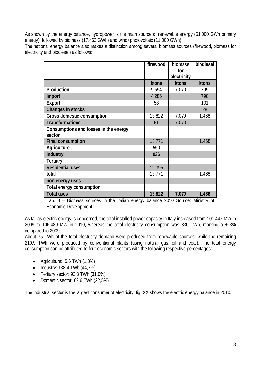As shown by the energy balance, hydropower is the main source of renewable energy (51.000 GWh primary energy), followed by biomass (17.463 GWh) and wind+photovoltaic (11.000 GWh).

The national energy balance also makes a distinction among several biomass sources (firewood, biomass for electricity and biodiesel) as follows:

|                                       | firewood | biomass     | biodiesel |
|---------------------------------------|----------|-------------|-----------|
|                                       |          | for         |           |
|                                       |          | electricity |           |
|                                       | ktons    | ktons       | ktons     |
| Production                            | 9.594    | 7.070       | 799       |
| Import                                | 4.286    |             | 798       |
| <b>Export</b>                         | 58       |             | 101       |
| Changes in stocks                     |          |             | 28        |
| Gross domestic consumption            | 13.822   | 7.070       | 1.468     |
| <b>Transformations</b>                | 51       | 7.070       |           |
| Consumptions and losses in the energy |          |             |           |
| sector                                |          |             |           |
| <b>Final consumption</b>              | 13.771   |             | 1.468     |
| Agriculture                           | 550      |             |           |
| Industry                              | 826      |             |           |
| <b>Tertiary</b>                       |          |             |           |
| <b>Residential uses</b>               | 12.395   |             |           |
| total                                 | 13.771   |             | 1.468     |
| non energy uses                       |          |             |           |
| Total energy consumption              |          |             |           |
| <b>Total uses</b>                     | 13.822   | 7.070       | 1.468     |

Tab. 3 – Biomass sources in the Italian energy balance 2010 Source: Ministry of Economic Development

As far as electric energy is concerned, the total installed power capacity in Italy increased from 101.447 MW in 2009 to 106.489 MW in 2010, whereas the total electricity consumption was 330 TWh, marking  $a + 3\%$ compared to 2009.

About 75 TWh of the total electricity demand were produced from renewable sources, while the remaining 210,9 TWh were produced by conventional plants (using natural gas, oil and coal). The total energy consumption can be attributed to four economic sectors with the following respective percentages:

- Agriculture: 5,6 TWh (1,8%)
- Industry: 138,4 TWh (44,7%)
- Tertiary sector: 93,3 TWh (31,0%)
- Domestic sector: 69,6 TWh (22,5%)

The industrial sector is the largest consumer of electricity, fig. XX shows the electric energy balance in 2010.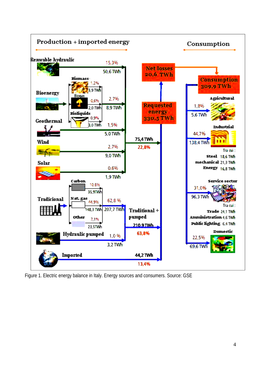

Figure 1. Electric energy balance in Italy. Energy sources and consumers. Source: GSE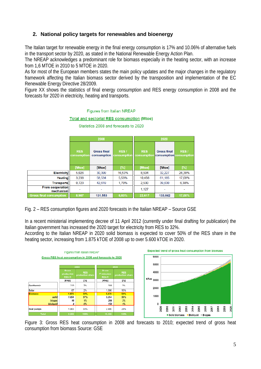#### **2. National policy targets for renewables and bioenergy**

The Italian target for renewable energy in the final energy consumption is 17% and 10.06% of alternative fuels in the transport sector by 2020, as stated in the National Renewable Energy Action Plan.

The NREAP acknowledges a predominant role for biomass especially in the heating sector, with an increase from 1,6 MTOE in 2010 to 5 MTOE in 2020.

As for most of the European members states the main policy updates and the major changes in the regulatory framework affecting the Italian biomass sector derived by the transposition and implementation of the EC Renewable Energy Directive 28/2009.

Figure XX shows the statistics of final energy consumption and RES energy consumption in 2008 and the forecasts for 2020 in electricity, heating and transports.

#### **Figures from Italian NREAP**

#### **Total and sectorial RES consumption (Mtoe)**

|                                      |                           | 2008                              |                          |                           | 2020                                          |        |
|--------------------------------------|---------------------------|-----------------------------------|--------------------------|---------------------------|-----------------------------------------------|--------|
|                                      | <b>RES</b><br>consumption | <b>Gross final</b><br>consumption | RES/<br>consumption      | <b>RES</b><br>consumption | <b>Gross final</b><br>consumption consumption | RES/   |
|                                      | [Mtoe]                    | [Mtoe]                            | [%]                      | [Mtoe]                    | [Mtoe]                                        | [%]    |
| <b>Electricity</b>                   | 5,026                     | 30,399                            | 16,53%                   | 8,504                     | 32,227                                        | 26,39% |
| <b>Heating</b>                       | 3.238                     | 58,534                            | 5.53%                    | 10.456                    | 61,185                                        | 17,09% |
| <b>Transports</b>                    | 0.723                     | 42,619                            | 1.70%                    | 2,530                     | 39,630                                        | 6,38%  |
| <b>From cooperation</b><br>mechanism |                           |                                   | $\overline{\phantom{a}}$ | 1,127                     |                                               |        |
| <b>Gross final consumption</b>       | 8,987                     | 131,553                           | 6,83%                    | 22,617                    | 133,042                                       | 17,00% |

Statistics 2008 and forecasts to 2020

Fig. 2 – RES consumption figures and 2020 forecasts in the Italian NREAP – Source GSE

In a recent ministerial implementing decree of 11 April 2012 (currently under final drafting for publication) the Italian government has increased the 2020 target for electricity from RES to 32%.

According to the Italian NREAP in 2020 solid biomass is expected to cover 50% of the RES share in the heating sector, increasing from 1.875 kTOE of 2008 up to over 5.600 kTOE in 2020.



Figure 3: Gross RES heat consumption in 2008 and forecasts to 2010; expected trend of gross heat consumption from biomass Source: GSE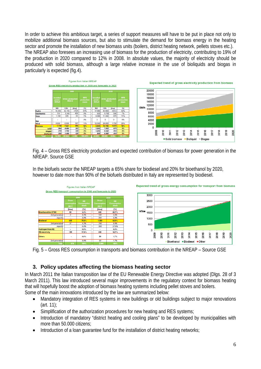In order to achieve this ambitious target, a series of support measures will have to be put in place not only to mobilize additional biomass sources, but also to stimulate the demand for biomass energy in the heating sector and promote the installation of new biomass units (boilers, district heating network, pellets stoves etc.). The NREAP also foresees an increasing use of biomass for the production of electricity, contributing to 19% of the production in 2020 compared to 12% in 2008. In absolute values, the majority of electricity should be produced with solid biomass, although a large relative increase in the use of bioliquids and biogas in particularly is expected (fig.4).



Fig. 4 – Gross RES electricity production and expected contribution of biomass for power generation in the NREAP. Source GSE

In the biofuels sector the NREAP targets a 65% share for biodiesel and 20% for bioethanol by 2020, however to date more than 90% of the biofuels distributed in Italy are represented by biodiesel.



Fig. 5 – Gross RES consumption in transports and biomass contribution in the NREAP – Source GSE

#### **3. Policy updates affecting the biomass heating sector**

In March 2011 the Italian transposition law of the EU Renewable Energy Directive was adopted (Dlgs. 28 of 3 March 2011). This law introduced several major improvements in the regulatory context for biomass heating that will hopefully boost the adoption of biomass heating systems including pellet stoves and boilers.

Some of the main innovations introduced by the law are summarized below:

- Mandatory integration of RES systems in new buildings or old buildings subject to major renovations (art. 11);
- Simplification of the authorization procedures for new heating and RES systems;
- Introduction of mandatory "district heating and cooling plans" to be developed by municipalities with more than 50.000 citizens;
- Introduction of a loan guarantee fund for the installation of district heating networks;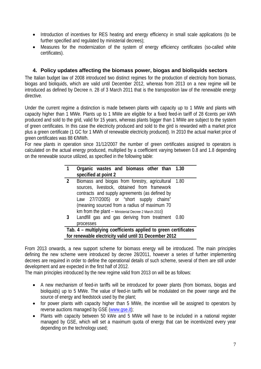- Introduction of incentives for RES heating and energy efficiency in small scale applications (to be further specified and regulated by ministerial decrees);
- Measures for the modernization of the system of energy efficiency certificates (so-called white certificates).

#### **4. Policy updates affecting the biomass power, biogas and bioliquids sectors**

The Italian budget law of 2008 introduced two distinct regimes for the production of electricity from biomass, biogas and bioliquids, which are valid until December 2012, whereas from 2013 on a new regime will be introduced as defined by Decree n. 28 of 3 March 2011 that is the transposition law of the renewable energy directive.

Under the current regime a distinction is made between plants with capacity up to 1 MWe and plants with capacity higher than 1 MWe. Plants up to 1 MWe are eligible for a fixed feed-in tariff of 28 €cents per kWh produced and sold to the grid, valid for 15 years, whereas plants bigger than 1 MWe are subject to the system of green certificates. In this case the electricity produced and sold to the gird is rewarded with a market price plus a green certificate (1 GC for 1 MWh of renewable electricity produced). In 2010 the actual market price of green certificates was 88 €/MWh.

For new plants in operation since 31/12/2007 the number of green certificates assigned to operators is calculated on the actual energy produced, multiplied by a coefficient varying between 0.8 and 1.8 depending on the renewable source utilized, as specified in the following table:

|                | Organic wastes and biomass other than 1.30                                                                                                                                                                                                                                                                                                         |   |
|----------------|----------------------------------------------------------------------------------------------------------------------------------------------------------------------------------------------------------------------------------------------------------------------------------------------------------------------------------------------------|---|
|                | specified at point 2                                                                                                                                                                                                                                                                                                                               |   |
| $\overline{2}$ | Biomass and biogas from forestry, agricultural 1.80                                                                                                                                                                                                                                                                                                |   |
|                | sources, livestock, obtained from framework                                                                                                                                                                                                                                                                                                        |   |
|                | contracts and supply agreements (as defined by                                                                                                                                                                                                                                                                                                     |   |
|                | Law 27/7/2005) or "short supply chains"                                                                                                                                                                                                                                                                                                            |   |
|                | (meaning sourced from a radius of maximum 70                                                                                                                                                                                                                                                                                                       |   |
|                | km from the plant - Ministerial Decree 2 March 2010)                                                                                                                                                                                                                                                                                               |   |
| 3              | Landfill gas and gas deriving from treatment 0.80                                                                                                                                                                                                                                                                                                  |   |
|                | processes                                                                                                                                                                                                                                                                                                                                          |   |
|                | Arrest and a set of the line of the set of the set of the set of the set of the set of the set of the set of the<br>fficial and a consequently and a consequence of the second consequence of the second second second second second second second second second second second second second second second second second second second second seco | . |

**Tab. 4 – multiplying coefficients applied to green certificates for renewable electricity valid until 31 December 2012** 

From 2013 onwards, a new support scheme for biomass energy will be introduced. The main principles defining the new scheme were introduced by decree 28/2011, however a series of further implementing decrees are required in order to define the operational details of such scheme, several of them are still under development and are expected in the first half of 2012.

The main principles introduced by the new regime valid from 2013 on will be as follows:

- A new mechanism of feed-in tariffs will be introduced for power plants (from biomass, biogas and bioliquids) up to 5 MWe. The value of feed-in tariffs will be modulated on the power range and the source of energy and feedstock used by the plant;
- for power plants with capacity higher than 5 MWe, the incentive will be assigned to operators by reverse auctions managed by GSE (www.gse.it);
- Plants with capacity between 50 kWe and 5 MWe will have to be included in a national register managed by GSE, which will set a maximum quota of energy that can be incentivized every year depending on the technology used;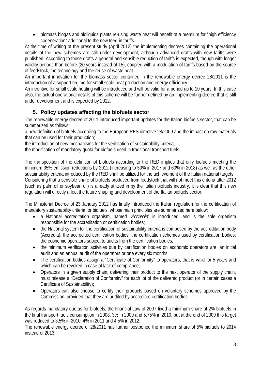• biomass biogas and bioliquids plants re-using waste heat will benefit of a premium for "high efficiency cogeneration" additional to the new feed-in tariffs.

At the time of writing of the present study (April 2012) the implementing decrees containing the operational details of the new schemes are still under development, although advanced drafts with new tariffs were published. According to those drafts a general and sensible reduction of tariffs is expected, though with longer validity periods than before (20 years instead of 15), coupled with a modulation of tariffs based on the source of feedstock, the technology and the reuse of waste heat.

An important innovation for the biomass sector contained in the renewable energy decree 28/2011 is the introduction of a support regime for small scale heat production and energy efficiency.

An incentive for small scale heating will be introduced and will be valid for a period up to 10 years. In this case also, the actual operational details of this scheme will be further defined by an implementing decree that is still under development and is expected by 2012.

#### **5. Policy updates affecting the biofuels sector**

The renewable energy decree of 2011 introduced important updates for the Italian biofuels sector, that can be summarized as follows:

a new definition of biofuels according to the European RES directive 28/2009 and the impact on raw materials that can be used for their production;

the introduction of new mechanisms for the verification of sustainability criteria;

the modification of mandatory quota for biofuels used in traditional transport fuels.

The transposition of the definition of biofuels according to the RED implies that only biofuels meeting the minimum 35% emission reductions by 2012 (increasing to 50% in 2017 and 60% in 2018) as well as the other sustainability criteria introduced by the RED shall be utilized for the achievement of the Italian national targets. Considering that a sensible share of biofuels produced from feedstock that will not meet this criteria after 2012 (such as palm oil or soybean oil) is already utilized in by the Italian biofuels industry, it is clear that this new regulation will directly affect the future shaping and development of the Italian biofuels sector.

The Ministerial Decree of 23 January 2012 has finally introduced the Italian regulation for the certification of mandatory sustainability criteria for biofuels, whose main principles are summarized here below:

- a National accreditation organism, named "*Accredia*" is introduced, and is the sole organism responsible for the accreditation or certification bodies;
- the National system for the certification of sustainability criteria is composed by the accreditation body (Accredia); the accredited certification bodies; the certification schemes used by certification bodies; the economic operators subject to audits from the certification bodies;
- the minimum verification activities due by certification bodies on economic operators are: an initial audit and an annual audit of the operators or one every six months;
- The certification bodies assign a "Certificate of Conformity" to operators, that is valid for 5 years and which can be revoked in case of lack of compliance;
- Operators in a given supply chain, delivering their product to the next operator of the supply chain, must release a "Declaration of Conformity" for each lot of the delivered product (or in certain cases a Certificate of Sustainability);
- Operators can also choose to certify their products based on voluntary schemes approved by the Commission, provided that they are audited by accredited certification bodies.

As regards mandatory quotas for biofuels, the financial Law of 2007 fixed a minimum share of 2% biofuels in the final transport fuels consumption in 2008, 3% in 2009 and 5,75% in 2010, but at the end of 2009 this target was reduced to 3,5% in 2010, 4% in 2011 and 4,5% in 2012.

The renewable energy decree of 28/2011 has further postponed the minimum share of 5% biofuels to 2014 instead of 2013.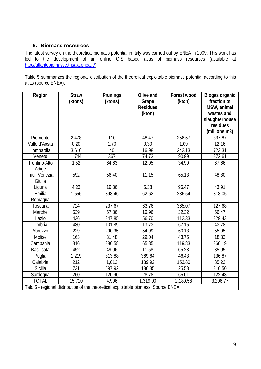#### **6. Biomass resources**

The latest survey on the theoretical biomass potential in Italy was carried out by ENEA in 2009. This work has led to the development of an online GIS based atlas of biomass resources (available at http://atlantebiomasse.trisaia.enea.it/).

Table 5 summarizes the regional distribution of the theoretical exploitable biomass potential according to this atlas (source ENEA).

| Region                                                                             | <b>Straw</b> | Prunings | Olive and       | Forest wood | Biogas organic |  |  |  |
|------------------------------------------------------------------------------------|--------------|----------|-----------------|-------------|----------------|--|--|--|
|                                                                                    | (ktons)      | (ktons)  | Grape           | (kton)      | fraction of    |  |  |  |
|                                                                                    |              |          | <b>Residues</b> |             | MSW, animal    |  |  |  |
|                                                                                    |              |          | (kton)          |             | wastes and     |  |  |  |
|                                                                                    |              |          |                 |             | slaughterhouse |  |  |  |
|                                                                                    |              |          |                 |             | residues       |  |  |  |
|                                                                                    |              |          |                 |             | (millions m3)  |  |  |  |
| Piemonte                                                                           | 2,478        | 110      | 48.47           | 256.57      | 337.87         |  |  |  |
| Valle d'Aosta                                                                      | 0.20         | 1.70     | 0.30            | 1.09        | 12.16          |  |  |  |
| Lombardia                                                                          | 3,616        | 40       | 16.98           | 242.13      | 723.31         |  |  |  |
| Veneto                                                                             | 1,744        | 367      | 74.73           | 90.99       | 272.61         |  |  |  |
| Trentino-Alto                                                                      | 1.52         | 64.63    | 12.95           | 34.99       | 67.66          |  |  |  |
| Adige                                                                              |              |          |                 |             |                |  |  |  |
| Friuli Venezia                                                                     | 592          | 56.40    | 11.15           | 65.13       | 48.80          |  |  |  |
| Giulia                                                                             |              |          |                 |             |                |  |  |  |
| Liguria                                                                            | 4.23         | 19.36    | 5.38            | 96.47       | 43.91          |  |  |  |
| Emilia                                                                             | 1,556        | 398.46   | 62.62           | 236.54      | 318.05         |  |  |  |
| Romagna                                                                            |              |          |                 |             |                |  |  |  |
| Toscana                                                                            | 724          | 237.67   | 63.76           | 365.07      | 127.68         |  |  |  |
| Marche                                                                             | 539          | 57.86    | 16.96           | 32.32       | 56.47          |  |  |  |
| Lazio                                                                              | 436          | 247.85   | 56.70           | 112.33      | 229.43         |  |  |  |
| <b>Umbria</b>                                                                      | 430          | 101.89   | 13.73           | 67.15       | 43.78          |  |  |  |
| Abruzzo                                                                            | 229          | 290.35   | 54.99           | 60.13       | 55.05          |  |  |  |
| Molise                                                                             | 163          | 31.48    | 29.04           | 43.75       | 18.83          |  |  |  |
| Campania                                                                           | 316          | 286.58   | 65.85           | 119.83      | 260.19         |  |  |  |
| <b>Basilicata</b>                                                                  | 452          | 49,96    | 11.58           | 65.28       | 35.95          |  |  |  |
| Puglia                                                                             | 1,219        | 813.88   | 369.64          | 46.43       | 136.87         |  |  |  |
| Calabria                                                                           | 212          | 1,012    | 189.92          | 153.80      | 85.23          |  |  |  |
| Sicilia                                                                            | 731          | 597.92   | 186.35          | 25.58       | 210.50         |  |  |  |
| Sardegna                                                                           | 260          | 120.90   | 28.78           | 65.01       | 122.43         |  |  |  |
| <b>TOTAL</b>                                                                       | 15,710       | 4,906    | 1,319.90        | 2,180.58    | 3,206.77       |  |  |  |
| Tab. 5 - regional distribution of the theoretical exploitable biomass. Source ENEA |              |          |                 |             |                |  |  |  |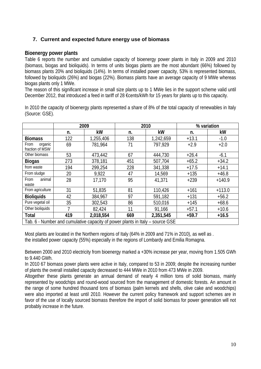#### **7. Current and expected future energy use of biomass**

#### **Bioenergy power plants**

Table 6 reports the number and cumulative capacity of bioenergy power plants in Italy in 2009 and 2010 (biomass, biogas and bioliquids). In terms of units biogas plants are the most abundant (66%) followed by biomass plants 20% and bioliquids (14%). In terms of installed power capacity, 53% is represented biomass, followed by bioliquids (26%) and biogas (22%). Biomass plants have an average capacity of 9 MWe whereas biogas plants only 1 MWe.

The reason of this significant increase in small size plants up to 1 MWe lies in the support scheme valid until December 2012, that introduced a feed in tariff of 28 €cents/kWh for 15 years for plants up to this capacity.

In 2010 the capacity of bioenergy plants represented a share of 8% of the total capacity of renewables in Italy (Source: GSE).

|                                                                               | 2009 |           |     | 2010      | % variation |          |  |  |
|-------------------------------------------------------------------------------|------|-----------|-----|-----------|-------------|----------|--|--|
|                                                                               | n.   | kW        | n.  | kW        | n.          | kW       |  |  |
| <b>Biomass</b>                                                                | 122  | 1,255,406 | 138 | 1,242,659 | $+13.1$     | $-1.0$   |  |  |
| organic<br>From<br>fraction of MSW                                            | 69   | 781,964   | 71  | 797,929   | $+2.9$      | $+2.0$   |  |  |
| Other biomass                                                                 | 53   | 473,442   | 67  | 444,730   | $+26.4$     | $-6.1$   |  |  |
| <b>Biogas</b>                                                                 | 273  | 378,181   | 451 | 507,704   | $+65.2$     | $+34.2$  |  |  |
| from waste                                                                    | 194  | 299,254   | 228 | 341,338   | $+17.5$     | $+14.1$  |  |  |
| From sludge                                                                   | 20   | 9,922     | 47  | 14,569    | $+135$      | $+46.8$  |  |  |
| animal<br>From<br>waste                                                       | 28   | 17,170    | 95  | 41,371    | $+239$      | $+140.9$ |  |  |
| From agriculture                                                              | 31   | 51,835    | 81  | 110,426   | $+161$      | $+113.0$ |  |  |
| <b>Bioliquids</b>                                                             | 42   | 384,967   | 97  | 591,182   | $+131$      | $+56.2$  |  |  |
| Pure vegetal oil                                                              | 35   | 302,543   | 86  | 510,016   | $+145$      | $+68.6$  |  |  |
| Other bioliquids                                                              |      | 82,424    | 11  | 91,166    | $+57.1$     | $+10.6$  |  |  |
| <b>Total</b>                                                                  | 419  | 2,018,554 | 669 | 2,351,545 | $+59.7$     | $+16.5$  |  |  |
| Tab. 6 - Number and cumulative capacity of power plants in Italy – source GSE |      |           |     |           |             |          |  |  |

Most plants are located in the Northern regions of Italy (64% in 2009 and 71% in 2010), as well as . the installed power capacity (55%) especially in the regions of Lombardy and Emilia Romagna.

Between 2000 and 2010 electricity from bioenergy marked a +30% increase per year, moving from 1.505 GWh to 9.440 GWh.

In 2010 67 biomass power plants were active in Italy, compared to 53 in 2009; despite the increasing number of plants the overall installed capacity decreased to 444 MWe in 2010 from 473 MWe in 2009.

Altogether these plants generate an annual demand of nearly 4 million tons of solid biomass, mainly represented by woodchips and round-wood sourced from the management of domestic forests. An amount in the range of some hundred thousand tons of biomass (palm kernels and shells, olive cake and woodchips) were also imported at least until 2010. However the current policy framework and support schemes are in favor of the use of locally sourced biomass therefore the import of solid biomass for power generation will not probably increase in the future.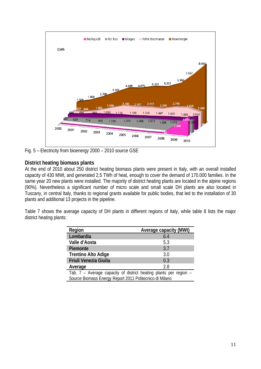

Fig. 5 – Electricity from bioenergy 2000 – 2010 source GSE

#### **District heating biomass plants**

At the end of 2010 about 250 district heating biomass plants were present in Italy, with an overall installed capacity of 430 MWt, and generated 2,5 TWh of heat, enough to cover the demand of 170.000 families. In the same year 20 new plants were installed. The majority of district heating plants are located in the alpine regions (90%). Nevertheless a significant number of micro scale and small scale DH plants are also located in Tuscany, in central Italy, thanks to regional grants available for public bodies, that led to the installation of 30 plants and additional 13 projects in the pipeline.

Table 7 shows the average capacity of DH plants in different regions of Italy, while table 8 lists the major district heating plants:

| Region                                                            | Average capacity (MWt) |  |  |  |  |
|-------------------------------------------------------------------|------------------------|--|--|--|--|
| Lombardia                                                         | 6.4                    |  |  |  |  |
| Valle d'Aosta                                                     | 5.3                    |  |  |  |  |
| Piemonte                                                          | 3.7                    |  |  |  |  |
| <b>Trentino Alto Adige</b>                                        | 3.0                    |  |  |  |  |
| Friuli Venezia Giulia                                             | 0.3                    |  |  |  |  |
| Average                                                           | 2.8                    |  |  |  |  |
| Tab. 7 - Average capacity of district heating plants per region - |                        |  |  |  |  |
| Source Biomass Energy Report 2011 Politecnico di Milano           |                        |  |  |  |  |
|                                                                   |                        |  |  |  |  |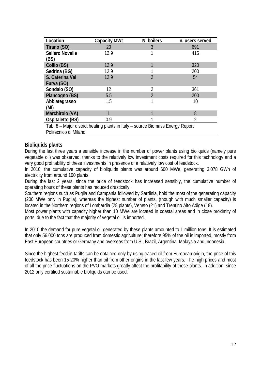| Location                                                                       | <b>Capacity MWt</b> | N. boilers     | n. users served |  |  |  |  |
|--------------------------------------------------------------------------------|---------------------|----------------|-----------------|--|--|--|--|
| Tirano (SO)                                                                    | 20                  | 3              | 691             |  |  |  |  |
| <b>Sellero Novelle</b>                                                         | 12.9                |                | 415             |  |  |  |  |
| (BS)                                                                           |                     |                |                 |  |  |  |  |
| Collio (BS)                                                                    | 12.9                | ◀              | 320             |  |  |  |  |
| Sedrina (BG)                                                                   | 12.9                |                | 200             |  |  |  |  |
| S. Caterina Val                                                                | 12.9                | $\overline{2}$ | 54              |  |  |  |  |
| Furva (SO)                                                                     |                     |                |                 |  |  |  |  |
| Sondalo (SO)                                                                   | 12                  | 2              | 361             |  |  |  |  |
| Piancogno (BS)                                                                 | 5.5                 | $\overline{2}$ | 200             |  |  |  |  |
| Abbiategrasso                                                                  | 1.5                 | 1              | 10              |  |  |  |  |
| (MI)                                                                           |                     |                |                 |  |  |  |  |
| Marchirolo (VA)                                                                |                     | 1              | 8               |  |  |  |  |
| Ospitaletto (BS)                                                               | 0.9                 |                | 2               |  |  |  |  |
| Tab. 8 – Major district heating plants in Italy – source Biomass Energy Report |                     |                |                 |  |  |  |  |
| Politecnico di Milano                                                          |                     |                |                 |  |  |  |  |

#### **Bioliquids plants**

During the last three years a sensible increase in the number of power plants using bioliquids (namely pure vegetable oil) was observed, thanks to the relatively low investment costs required for this technology and a very good profitability of these investments in presence of a relatively low cost of feedstock.

In 2010, the cumulative capacity of bioliquids plants was around 600 MWe, generating 3.078 GWh of electricity from around 100 plants.

During the last 2 years, since the price of feedstock has increased sensibly, the cumulative number of operating hours of these plants has reduced drastically.

Southern regions such as Puglia and Campania followed by Sardinia, hold the most of the generating capacity (200 MWe only in Puglia), whereas the highest number of plants, (though with much smaller capacity) is located in the Northern regions of Lombardia (28 plants), Veneto (21) and Trentino Alto Adige (18).

Most power plants with capacity higher than 10 MWe are located in coastal areas and in close proximity of ports, due to the fact that the majority of vegetal oil is imported.

In 2010 the demand for pure vegetal oil generated by these plants amounted to 1 million tons. It is estimated that only 56.000 tons are produced from domestic agriculture; therefore 95% of the oil is imported, mostly from East European countries or Germany and overseas from U.S., Brazil, Argentina, Malaysia and Indonesia.

Since the highest feed-in tariffs can be obtained only by using traced oil from European origin, the price of this feedstock has been 15-20% higher than oil from other origins in the last few years. The high prices and most of all the price fluctuations on the PVO markets greatly affect the profitability of these plants. In addition, since 2012 only certified sustainable bioliquids can be used.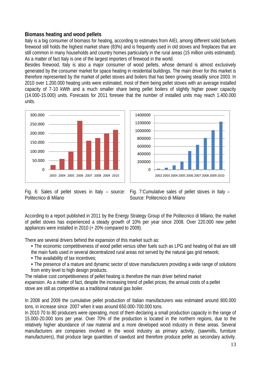#### **Biomass heating and wood pellets**

Italy is a big consumer of biomass for heating, according to estimates from AIEL among different solid biofuels firewood still holds the highest market share (83%) and is frequently used in old stoves and fireplaces that are still common in many households and country homes particularly in the rural areas (15 million units estimated). As a matter of fact Italy is one of the largest importers of firewood in the world.

Besides firewood, Italy is also a major consumer of wood pellets, whose demand is almost exclusively generated by the consumer market for space heating in residential buildings. The main driver for this market is therefore represented by the market of pellet stoves and boilers that has been growing steadily since 2003. In 2010 over 1.200.000 heating units were estimated, most of them being pellet stoves with an average installed capacity of 7‐10 kWth and a much smaller share being pellet boilers of slightly higher power capacity (14.000‐15.000) units. Forecasts for 2011 foresee that the number of installed units may reach 1.400.000 units.





Fig. 6: Sales of pellet stoves in Italy – source: Politecnico di Milano

Fig. 7:Cumulative sales of pellet stoves in Italy – Source: Politecnico di Milano

According to a report published in 2011 by the Energy Strategy Group of the Politecnico di Milano, the market of pellet stoves has experienced a steady growth of 10% per year since 2008. Over 220.000 new pellet appliances were installed in 2010 (+ 20% compared to 2009).

There are several drivers behind the expansion of this market such as:

- The economic competitiveness of wood pellet versus other fuels such as LPG and heating oil that are still the main fuels used in several decentralized rural areas not served by the natural gas grid network;
- The availability of tax incentives;
- The presence of a mature and dynamic sector of stove manufacturers providing a wide range of solutions from entry level to high design products.

The relative cost competitiveness of pellet heating is therefore the main driver behind market

expansion. As a matter of fact, despite the increasing trend of pellet prices, the annual costs of a pellet stove are still as competitive as a traditional natural gas boiler.

In 2008 and 2009 the cumulative pellet production of Italian manufacturers was estimated around 800.000 tons, in increase since 2007 when it was around 650.000‐700.000 tons.

In 2010 70 to 80 producers were operating, most of them declaring a small production capacity in the range of 15.000‐20.000 tons per year. Over 70% of the production is located in the northern regions, due to the relatively higher abundance of raw material and a more developed wood industry in these areas. Several manufacturers are companies involved in the wood industry as primary activity, (sawmills, furniture manufacturers), that produce large quantities of sawdust and therefore produce pellet as secondary activity.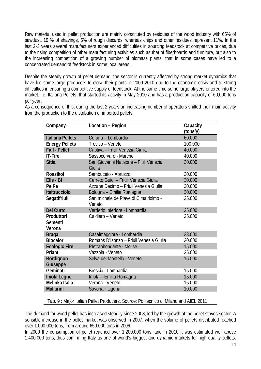Raw material used in pellet production are mainly constituted by residues of the wood industry with 65% of sawdust, 19 % of shavings, 5% of rough discards, whereas chips and other residues represent 11%. In the last 2‐3 years several manufacturers experienced difficulties in sourcing feedstock at competitive prices, due to the rising competition of other manufacturing activities such as that of fiberboards and furniture, but also to the increasing competition of a growing number of biomass plants, that in some cases have led to a concentrated demand of feedstock in some local areas.

Despite the steady growth of pellet demand, the sector is currently affected by strong market dynamics that have led some large producers to close their plants in 2009-2010 due to the economic crisis and to strong difficulties in ensuring a competitive supply of feedstock. At the same time some large players entered into the market, i.e. Italiana Pellets, that started its activity in May 2010 and has a production capacity of 60,000 tons per year.

As a consequence of this, during the last 2 years an increasing number of operators shifted their main activity from the production to the distribution of imported pellets.

| Company                 | Location - Region                               | Capacity |
|-------------------------|-------------------------------------------------|----------|
|                         |                                                 | (tons/y) |
| <b>Italiana Pellets</b> | Corana - Lombardia                              | 60.000   |
| <b>Energy Pellets</b>   | Treviso – Veneto                                | 100.000  |
| <b>Fiul - Pellet</b>    | Captiva - Friuli Venezia Giulia                 | 40.000   |
| <b>IT-Fire</b>          | Sassocorvaro - Marche                           | 40.000   |
| <b>Sitta</b>            | San Giovanni Natisone - Fiuli Venezia<br>Giulia | 30.000   |
| <b>Rossikol</b>         | Sambuceto - Abruzzo                             | 30.000   |
| Elle - BI               | Cerreto Guidi - Friuli Venezia Giulia           | 30.000   |
| Pe.Pe                   | Azzana Decimo – Friuli Venezia Giulia           | 30.000   |
| Italtrucciolo           | Bologna - Emilia Romagna                        | 30.000   |
| Segatifriuli            | San michele de Piave di Cimaldolmo -            | 25.000   |
|                         | Veneto                                          |          |
| <b>Del Curto</b>        | Verderio Inferiore - Lombardia                  | 25.000   |
| Produttori              | Caldiero - Veneto                               | 25.000   |
| Sementi                 |                                                 |          |
| Verona                  |                                                 |          |
| <b>Braga</b>            | Casalmaggiore - Lombardia                       | 23.000   |
| <b>Biocalor</b>         | Romans D'Isonzo - Friuli Venezia Giulia         | 20.000   |
| <b>Ecologic Fire</b>    | Pletrabbondante - Molise                        | 15.000   |
| Priant                  | Vazzola - Veneto                                | 25.000   |
| Bordignon               | Selva del Montello - Veneto                     | 15.000   |
| Giuseppe                |                                                 |          |
| Geminati                | Brescia - Lombardia                             | 15.000   |
| Imola Legno             | Imola - Emilia Romagna                          | 15.000   |
| Melinka Italia          | Verona - Veneto                                 | 15.000   |
| <b>Mallarini</b>        | Savona - Liguria                                | 10.000   |

Tab. 9 : Major Italian Pellet Producers. Source: Politecnico di Milano and AIEL 2011

The demand for wood pellet has increased steadily since 2003, led by the growth of the pellet stoves sector. A sensible increase in the pellet market was observed in 2007, when the volume of pellets distributed reached over 1.000.000 tons, from around 650.000 tons in 2006.

In 2009 the consumption of pellet reached over 1.200.000 tons, and in 2010 it was estimated well above 1.400.000 tons, thus confirming Italy as one of world's biggest and dynamic markets for high quality pellets.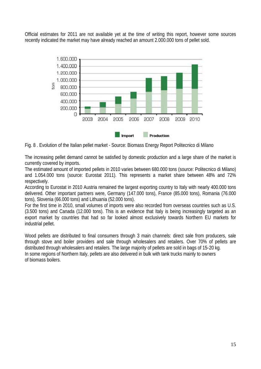Official estimates for 2011 are not available yet at the time of writing this report, however some sources recently indicated the market may have already reached an amount 2.000.000 tons of pellet sold.



Fig. 8 . Evolution of the Italian pellet market - Source: Biomass Energy Report Politecnico di Milano

The increasing pellet demand cannot be satisfied by domestic production and a large share of the market is currently covered by imports.

The estimated amount of imported pellets in 2010 varies between 680.000 tons (source: Politecnico di Milano) and 1.054.000 tons (source: Eurostat 2011). This represents a market share between 48% and 72% respectively.

According to Eurostat in 2010 Austria remained the largest exporting country to Italy with nearly 400.000 tons delivered. Other important partners were, Germany (147.000 tons), France (85.000 tons), Romania (76.000 tons), Slovenia (66.000 tons) and Lithuania (52.000 tons).

For the first time in 2010, small volumes of imports were also recorded from overseas countries such as U.S. (3.500 tons) and Canada (12.000 tons). This is an evidence that Italy is being increasingly targeted as an export market by countries that had so far looked almost exclusively towards Northern EU markets for industrial pellet.

Wood pellets are distributed to final consumers through 3 main channels: direct sale from producers, sale through stove and boiler providers and sale through wholesalers and retailers. Over 70% of pellets are distributed through wholesalers and retailers. The large majority of pellets are sold in bags of 15‐20 kg. In some regions of Northern Italy, pellets are also delivered in bulk with tank trucks mainly to owners of biomass boilers.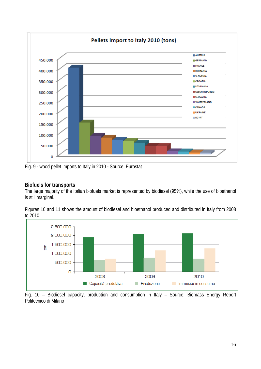

Fig. 9 - wood pellet imports to Italy in 2010 - Source: Eurostat

#### **Biofuels for transports**

The large majority of the Italian biofuels market is represented by biodiesel (95%), while the use of bioethanol is still marginal.

Figures 10 and 11 shows the amount of biodiesel and bioethanol produced and distributed in Italy from 2008 to 2010.



Fig. 10 – Biodiesel capacity, production and consumption in Italy – Source: Biomass Energy Report Politecnico di Milano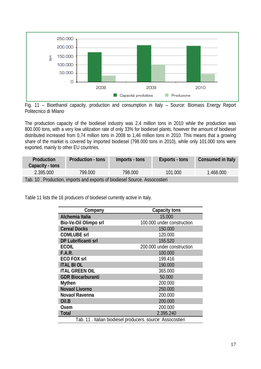

Fig. 11 – Bioethanol capacity, production and consumption in Italy – Source: Biomass Energy Report Politecnico di Milano

The production capacity of the biodiesel industry was 2,4 million tons in 2010 while the production was 800.000 tons, with a very low utilization rate of only 33% for biodiesel plants, however the amount of biodiesel distributed increased from 0,74 million tons in 2008 to 1,46 million tons in 2010. This means that a growing share of the market is covered by imported biodiesel (798.000 tons in 2010), while only 101.000 tons were exported, mainly to other EU countries.

| <b>Production</b><br>Capacity - tons                                       | Production - tons | Imports - tons | Exports - tons | Consumed in Italy |  |  |  |
|----------------------------------------------------------------------------|-------------------|----------------|----------------|-------------------|--|--|--|
| 2.395.000                                                                  | 799.000           | 798.000        | 101.000        | 1.468.000         |  |  |  |
| Tab. 10. Production, imports and exports of biodiesel Source. Assocostieri |                   |                |                |                   |  |  |  |

Table 11 lists the 16 producers of biodiesel currently active in Italy.

| Company                                                    | Capacity tons              |  |  |  |
|------------------------------------------------------------|----------------------------|--|--|--|
| Alchemia Italia                                            | 15.000                     |  |  |  |
| Bio-Ve-Oil Olimpo srl                                      | 100.000 under construction |  |  |  |
| <b>Cereal Docks</b>                                        | 150.000                    |  |  |  |
| <b>COMLUBE Srl</b>                                         | 120.000                    |  |  |  |
| DP Lubrificanti srl                                        | 155.520                    |  |  |  |
| <b>ECOIL</b>                                               | 200.000 under construction |  |  |  |
| F.A.R.                                                     | 100.000                    |  |  |  |
| <b>ECO FOX srl</b>                                         | 199.416                    |  |  |  |
| <b>ITAL BIOL</b>                                           | 190.000                    |  |  |  |
| <b>ITAL GREEN OIL</b>                                      | 365.000                    |  |  |  |
| <b>GDR Biocarburanti</b>                                   | 50.000                     |  |  |  |
| <b>Mythen</b>                                              | 200.000                    |  |  |  |
| <b>Novaol Livorno</b>                                      | 250.000                    |  |  |  |
| Novaol Ravenna                                             | 200.000                    |  |  |  |
| Oil.B                                                      | 200.000                    |  |  |  |
| Oxem                                                       | 200.000                    |  |  |  |
| <b>Total</b>                                               | 2.395.240                  |  |  |  |
| Tab. 11. Italian biodiesel producers. source: Assocostieri |                            |  |  |  |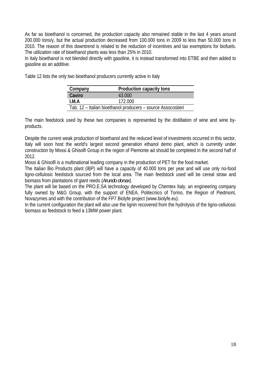As far as bioethanol is concerned, the production capacity also remained stable in the last 4 years around 200.000 tons/y, but the actual production decreased from 100.000 tons in 2009 to less than 50.000 tons in 2010. The reason of this downtrend is related to the reduction of incentives and tax exemptions for biofuels. The utilization rate of bioethanol plants was less than 25% in 2010.

In Italy bioethanol is not blended directly with gasoline, it is instead transformed into ETBE and then added to gasoline as an additive.

Table 12 lists the only two bioethanol producers currently active in Italy

| Company                                                      | Production capacity tons |  |  |  |
|--------------------------------------------------------------|--------------------------|--|--|--|
| Caviro                                                       | 43,000                   |  |  |  |
| I.M.A                                                        | 172.000                  |  |  |  |
| Tab. 12 - Italian bioethanol producers - source Assocostieri |                          |  |  |  |

The main feedstock used by these two companies is represented by the distillation of wine and wine byproducts.

Despite the current weak production of bioethanol and the reduced level of investments occurred in this sector, Italy will soon host the world's largest second generation ethanol demo plant, which is currently under construction by Mossi & Ghisolfi Group in the region of Piemonte ad should be completed in the second half of 2012.

Mossi & Ghisolfi is a multinational leading company in the production of PET for the food market.

The Italian Bio Products plant (IBP) will have a capacity of 40.000 tons per year and will use only no-food ligno-cellulosic feedstock sourced from the local area. The main feedstock used will be cereal straw and biomass from plantations of giant reeds (*Arundo donax*).

The plant will be based on the PRO.E.SA technology developed by Chemtex Italy, an engineering company fully owned by M&G Group, with the support of ENEA, Politecnico of Torino, the Region of Piedmont, Novazymes and with the contribution of the FP7 Biolyfe project (www.biolyfe.eu).

In the current configuration the plant will also use the lignin recovered from the hydrolysis of the ligno-cellulosic biomass as feedstock to feed a 13MW power plant.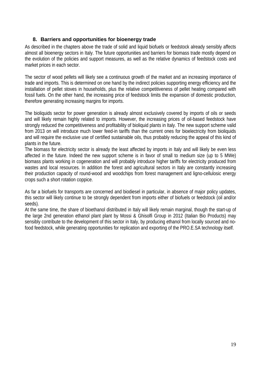#### **8. Barriers and opportunities for bioenergy trade**

As described in the chapters above the trade of solid and liquid biofuels or feedstock already sensibly affects almost all bioenergy sectors in Italy. The future opportunities and barriers for biomass trade mostly depend on the evolution of the policies and support measures, as well as the relative dynamics of feedstock costs and market prices in each sector.

The sector of wood pellets will likely see a continuous growth of the market and an increasing importance of trade and imports. This is determined on one hand by the indirect policies supporting energy efficiency and the installation of pellet stoves in households, plus the relative competitiveness of pellet heating compared with fossil fuels. On the other hand, the increasing price of feedstock limits the expansion of domestic production, therefore generating increasing margins for imports.

The bioliquids sector for power generation is already almost exclusively covered by imports of oils or seeds and will likely remain highly related to imports. However, the increasing prices of oil-based feedstock have strongly reduced the competitiveness and profitability of bioliquid plants in Italy. The new support scheme valid from 2013 on will introduce much lower feed-in tariffs than the current ones for bioelectricity from bioliquids and will require the exclusive use of certified sustainable oils, thus probably reducing the appeal of this kind of plants in the future.

The biomass for electricity sector is already the least affected by imports in Italy and will likely be even less affected in the future. Indeed the new support scheme is in favor of small to medium size (up to 5 MWe) biomass plants working in cogeneration and will probably introduce higher tariffs for electricity produced from wastes and local resources. In addition the forest and agricultural sectors in Italy are constantly increasing their production capacity of round-wood and woodchips from forest management and ligno-cellulosic energy crops such a short rotation coppice.

As far a biofuels for transports are concerned and biodiesel in particular, in absence of major policy updates, this sector will likely continue to be strongly dependent from imports either of biofuels or feedstock (oil and/or seeds).

At the same time, the share of bioethanol distributed in Italy will likely remain marginal, though the start-up of the large 2nd generation ethanol plant plant by Mossi & Ghisolfi Group in 2012 (Italian Bio Products) may sensibly contribute to the development of this sector in Italy, by producing ethanol from locally sourced and nofood feedstock, while generating opportunities for replication and exporting of the PRO.E.SA technology itself.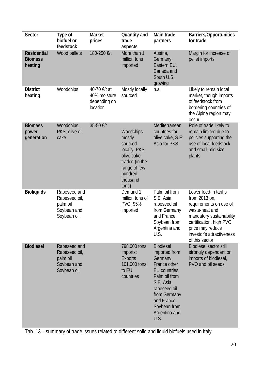| <b>Sector</b>                                   | Type of<br>biofuel or<br>feedstock                                      | <b>Market</b><br>prices                                  | Quantity and<br>trade<br>aspects                                                                                                | Main trade<br>partners                                                                                                                                                                                | <b>Barriers/Opportunities</b><br>for trade                                                                                                                                                                   |
|-------------------------------------------------|-------------------------------------------------------------------------|----------------------------------------------------------|---------------------------------------------------------------------------------------------------------------------------------|-------------------------------------------------------------------------------------------------------------------------------------------------------------------------------------------------------|--------------------------------------------------------------------------------------------------------------------------------------------------------------------------------------------------------------|
| <b>Residential</b><br><b>Biomass</b><br>heating | Wood pellets                                                            | 180-250 €/t                                              | More than 1<br>million tons<br>imported                                                                                         | Austria,<br>Germany,<br>Eastern EU,<br>Canada and<br>South U.S.<br>growing                                                                                                                            | Margin for increase of<br>pellet imports                                                                                                                                                                     |
| <b>District</b><br>heating                      | Woodchips                                                               | 40-70 €/t at<br>40% moisture<br>depending on<br>location | Mostly locally<br>sourced                                                                                                       | n.a.                                                                                                                                                                                                  | Likely to remain local<br>market, though imports<br>of feedstock from<br>bordering countries of<br>the Alpine region may<br><b>occur</b>                                                                     |
| <b>Biomass</b><br>power<br>generation           | Woodchips,<br>PKS, olive oil<br>cake                                    | 35-50 €/t                                                | Woodchips<br>mostly<br>sourced<br>locally, PKS,<br>olive cake<br>traded (in the<br>range of few<br>hundred<br>thousand<br>tons) | Mediterranean<br>countries for<br>olive cake, S.E:<br>Asia for PKS                                                                                                                                    | Role of trade likely to<br>remain limited due to<br>policies supporting the<br>use of local feedstock<br>and small-mid size<br>plants                                                                        |
| <b>Bioliquids</b>                               | Rapeseed and<br>Rapeseed oil,<br>palm oil<br>Soybean and<br>Soybean oil |                                                          | Demand 1<br>million tons of<br>PVO, 95%<br>imported                                                                             | Palm oil from<br>S.E. Asia,<br>rapeseed oil<br>from Germany<br>and France.<br>Soybean from<br>Argentina and<br>U.S.                                                                                   | Lower feed-in tariffs<br>from 2013 on,<br>requirements on use of<br>waste-heat and<br>mandatory sustainability<br>certification, high PVO<br>price may reduce<br>investor's attractiveness<br>of this sector |
| <b>Biodiesel</b>                                | Rapeseed and<br>Rapeseed oil,<br>palm oil<br>Soybean and<br>Soybean oil |                                                          | 798.000 tons<br>imports;<br><b>Exports</b><br>101.000 tons<br>to EU<br>countries                                                | <b>Biodiesel</b><br>imported from<br>Germany,<br>France other<br>EU countries,<br>Palm oil from<br>S.E. Asia,<br>rapeseed oil<br>from Germany<br>and France.<br>Soybean from<br>Argentina and<br>U.S. | <b>Biodiesel sector still</b><br>strongly dependent on<br>imports of biodiesel,<br>PVO and oil seeds.                                                                                                        |

Tab. 13 – summary of trade issues related to different solid and liquid biofuels used in Italy